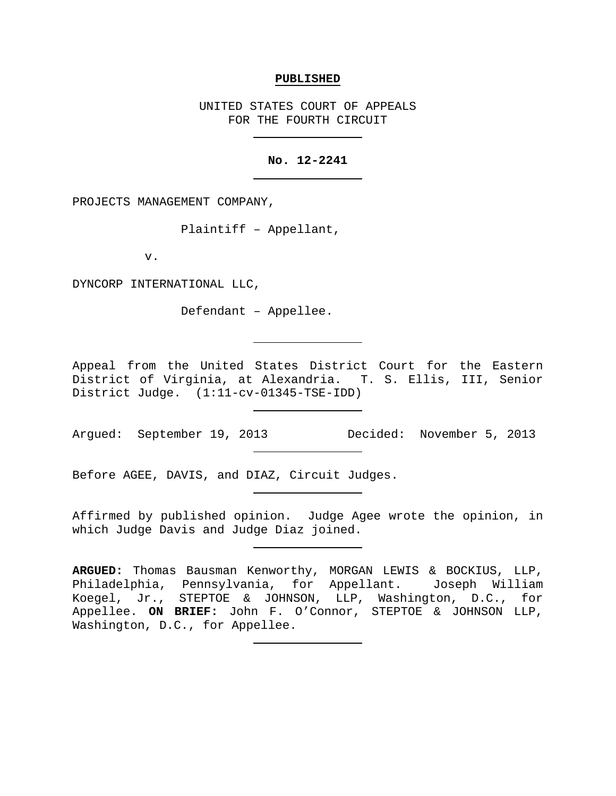### **PUBLISHED**

UNITED STATES COURT OF APPEALS FOR THE FOURTH CIRCUIT

# **No. 12-2241**

PROJECTS MANAGEMENT COMPANY,

Plaintiff – Appellant,

v.

DYNCORP INTERNATIONAL LLC,

Defendant – Appellee.

Appeal from the United States District Court for the Eastern District of Virginia, at Alexandria. T. S. Ellis, III, Senior District Judge. (1:11-cv-01345-TSE-IDD)

Argued: September 19, 2013 Decided: November 5, 2013

Before AGEE, DAVIS, and DIAZ, Circuit Judges.

Affirmed by published opinion. Judge Agee wrote the opinion, in which Judge Davis and Judge Diaz joined.

**ARGUED:** Thomas Bausman Kenworthy, MORGAN LEWIS & BOCKIUS, LLP, Philadelphia, Pennsylvania, for Appellant. Joseph William Koegel, Jr., STEPTOE & JOHNSON, LLP, Washington, D.C., for Appellee. **ON BRIEF:** John F. O'Connor, STEPTOE & JOHNSON LLP, Washington, D.C., for Appellee.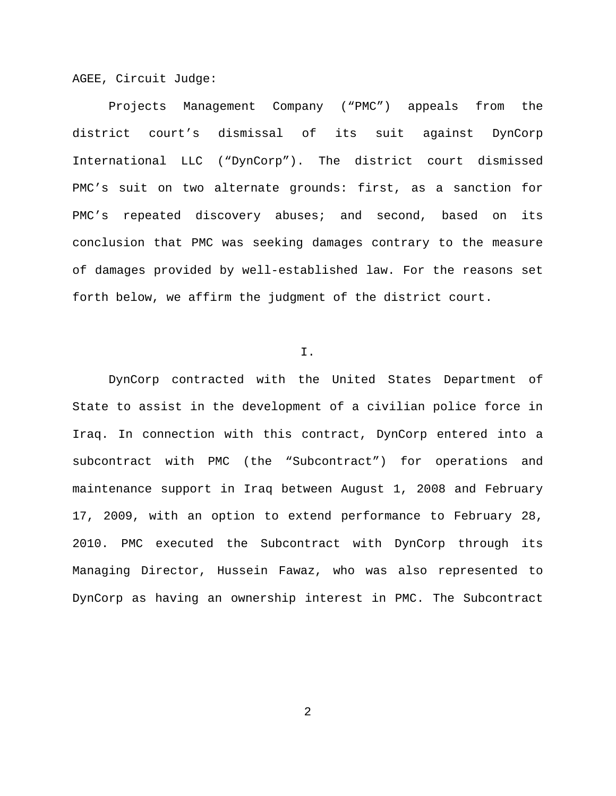AGEE, Circuit Judge:

Projects Management Company ("PMC") appeals from the district court's dismissal of its suit against DynCorp International LLC ("DynCorp"). The district court dismissed PMC's suit on two alternate grounds: first, as a sanction for PMC's repeated discovery abuses; and second, based on its conclusion that PMC was seeking damages contrary to the measure of damages provided by well-established law. For the reasons set forth below, we affirm the judgment of the district court.

# I.

DynCorp contracted with the United States Department of State to assist in the development of a civilian police force in Iraq. In connection with this contract, DynCorp entered into a subcontract with PMC (the "Subcontract") for operations and maintenance support in Iraq between August 1, 2008 and February 17, 2009, with an option to extend performance to February 28, 2010. PMC executed the Subcontract with DynCorp through its Managing Director, Hussein Fawaz, who was also represented to DynCorp as having an ownership interest in PMC. The Subcontract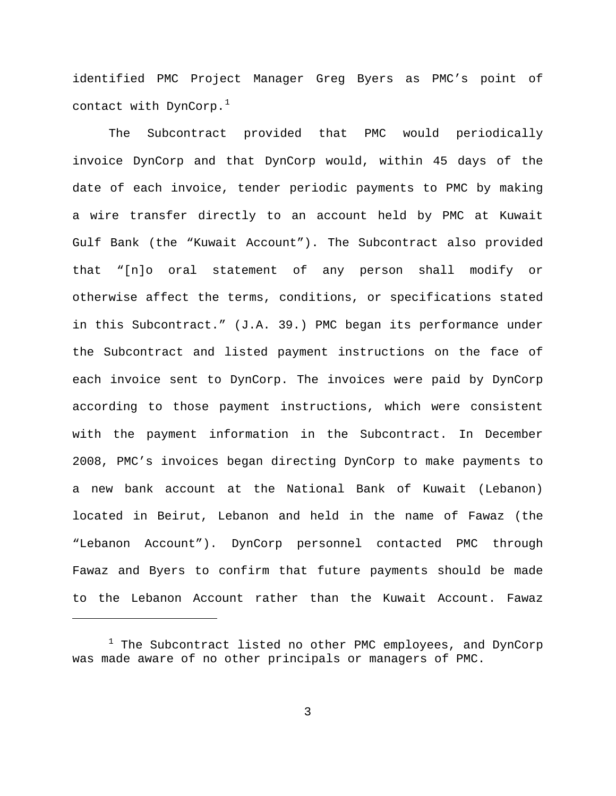identified PMC Project Manager Greg Byers as PMC's point of contact with DynCorp.<sup>[1](#page-2-0)</sup>

The Subcontract provided that PMC would periodically invoice DynCorp and that DynCorp would, within 45 days of the date of each invoice, tender periodic payments to PMC by making a wire transfer directly to an account held by PMC at Kuwait Gulf Bank (the "Kuwait Account"). The Subcontract also provided that "[n]o oral statement of any person shall modify or otherwise affect the terms, conditions, or specifications stated in this Subcontract." (J.A. 39.) PMC began its performance under the Subcontract and listed payment instructions on the face of each invoice sent to DynCorp. The invoices were paid by DynCorp according to those payment instructions, which were consistent with the payment information in the Subcontract. In December 2008, PMC's invoices began directing DynCorp to make payments to a new bank account at the National Bank of Kuwait (Lebanon) located in Beirut, Lebanon and held in the name of Fawaz (the "Lebanon Account"). DynCorp personnel contacted PMC through Fawaz and Byers to confirm that future payments should be made to the Lebanon Account rather than the Kuwait Account. Fawaz

Ĩ.

<span id="page-2-0"></span><sup>&</sup>lt;sup>1</sup> The Subcontract listed no other PMC employees, and DynCorp was made aware of no other principals or managers of PMC.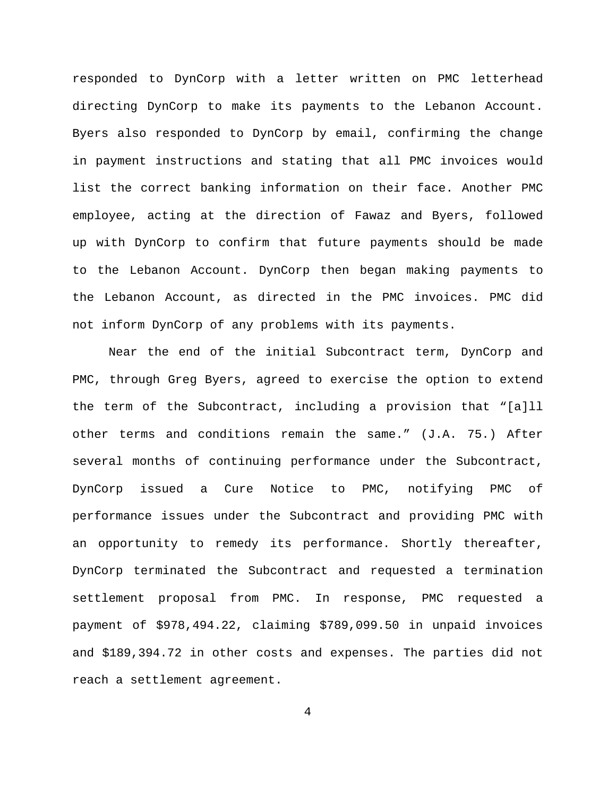responded to DynCorp with a letter written on PMC letterhead directing DynCorp to make its payments to the Lebanon Account. Byers also responded to DynCorp by email, confirming the change in payment instructions and stating that all PMC invoices would list the correct banking information on their face. Another PMC employee, acting at the direction of Fawaz and Byers, followed up with DynCorp to confirm that future payments should be made to the Lebanon Account. DynCorp then began making payments to the Lebanon Account, as directed in the PMC invoices. PMC did not inform DynCorp of any problems with its payments.

Near the end of the initial Subcontract term, DynCorp and PMC, through Greg Byers, agreed to exercise the option to extend the term of the Subcontract, including a provision that "[a]ll other terms and conditions remain the same." (J.A. 75.) After several months of continuing performance under the Subcontract, DynCorp issued a Cure Notice to PMC, notifying PMC of performance issues under the Subcontract and providing PMC with an opportunity to remedy its performance. Shortly thereafter, DynCorp terminated the Subcontract and requested a termination settlement proposal from PMC. In response, PMC requested a payment of \$978,494.22, claiming \$789,099.50 in unpaid invoices and \$189,394.72 in other costs and expenses. The parties did not reach a settlement agreement.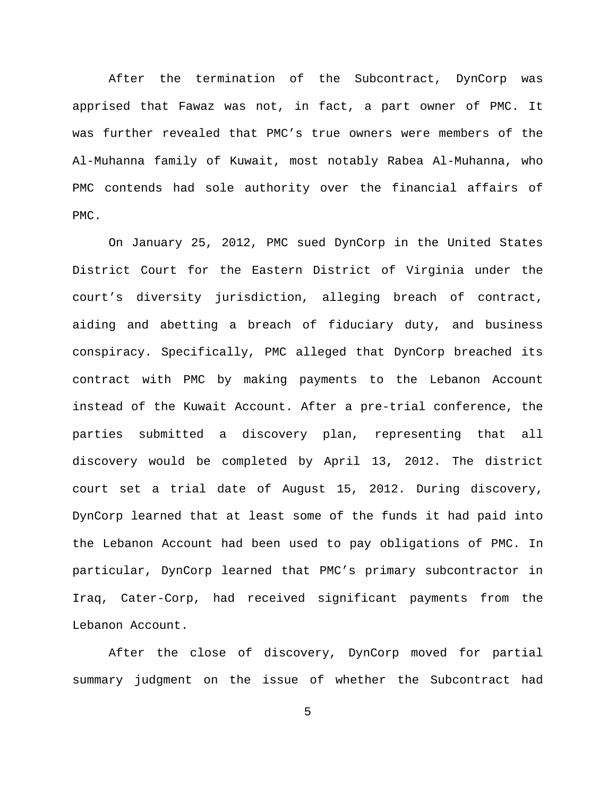After the termination of the Subcontract, DynCorp was apprised that Fawaz was not, in fact, a part owner of PMC. It was further revealed that PMC's true owners were members of the Al-Muhanna family of Kuwait, most notably Rabea Al-Muhanna, who PMC contends had sole authority over the financial affairs of PMC.

On January 25, 2012, PMC sued DynCorp in the United States District Court for the Eastern District of Virginia under the court's diversity jurisdiction, alleging breach of contract, aiding and abetting a breach of fiduciary duty, and business conspiracy. Specifically, PMC alleged that DynCorp breached its contract with PMC by making payments to the Lebanon Account instead of the Kuwait Account. After a pre-trial conference, the parties submitted a discovery plan, representing that all discovery would be completed by April 13, 2012. The district court set a trial date of August 15, 2012. During discovery, DynCorp learned that at least some of the funds it had paid into the Lebanon Account had been used to pay obligations of PMC. In particular, DynCorp learned that PMC's primary subcontractor in Iraq, Cater-Corp, had received significant payments from the Lebanon Account.

After the close of discovery, DynCorp moved for partial summary judgment on the issue of whether the Subcontract had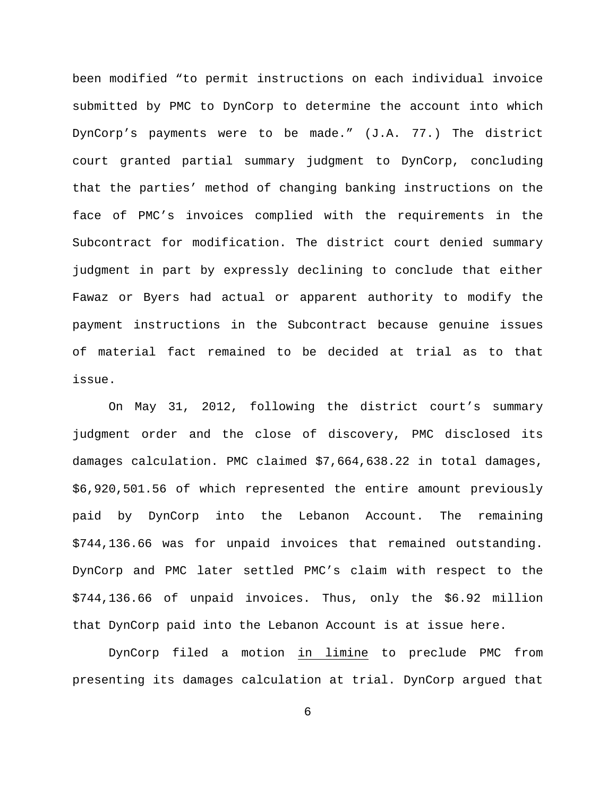been modified "to permit instructions on each individual invoice submitted by PMC to DynCorp to determine the account into which DynCorp's payments were to be made." (J.A. 77.) The district court granted partial summary judgment to DynCorp, concluding that the parties' method of changing banking instructions on the face of PMC's invoices complied with the requirements in the Subcontract for modification. The district court denied summary judgment in part by expressly declining to conclude that either Fawaz or Byers had actual or apparent authority to modify the payment instructions in the Subcontract because genuine issues of material fact remained to be decided at trial as to that issue.

On May 31, 2012, following the district court's summary judgment order and the close of discovery, PMC disclosed its damages calculation. PMC claimed \$7,664,638.22 in total damages, \$6,920,501.56 of which represented the entire amount previously paid by DynCorp into the Lebanon Account. The remaining \$744,136.66 was for unpaid invoices that remained outstanding. DynCorp and PMC later settled PMC's claim with respect to the \$744,136.66 of unpaid invoices. Thus, only the \$6.92 million that DynCorp paid into the Lebanon Account is at issue here.

DynCorp filed a motion in limine to preclude PMC from presenting its damages calculation at trial. DynCorp argued that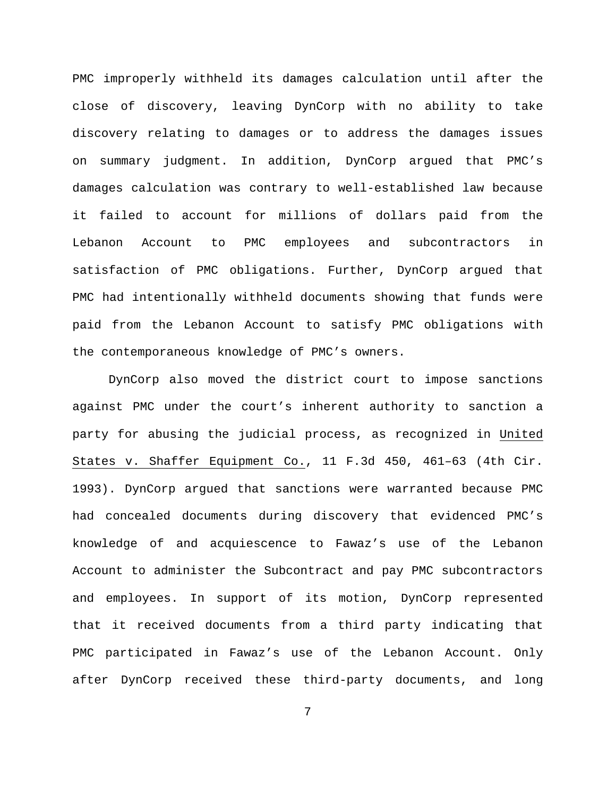PMC improperly withheld its damages calculation until after the close of discovery, leaving DynCorp with no ability to take discovery relating to damages or to address the damages issues on summary judgment. In addition, DynCorp argued that PMC's damages calculation was contrary to well-established law because it failed to account for millions of dollars paid from the Lebanon Account to PMC employees and subcontractors in satisfaction of PMC obligations. Further, DynCorp argued that PMC had intentionally withheld documents showing that funds were paid from the Lebanon Account to satisfy PMC obligations with the contemporaneous knowledge of PMC's owners.

DynCorp also moved the district court to impose sanctions against PMC under the court's inherent authority to sanction a party for abusing the judicial process, as recognized in United States v. Shaffer Equipment Co., 11 F.3d 450, 461–63 (4th Cir. 1993). DynCorp argued that sanctions were warranted because PMC had concealed documents during discovery that evidenced PMC's knowledge of and acquiescence to Fawaz's use of the Lebanon Account to administer the Subcontract and pay PMC subcontractors and employees. In support of its motion, DynCorp represented that it received documents from a third party indicating that PMC participated in Fawaz's use of the Lebanon Account. Only after DynCorp received these third-party documents, and long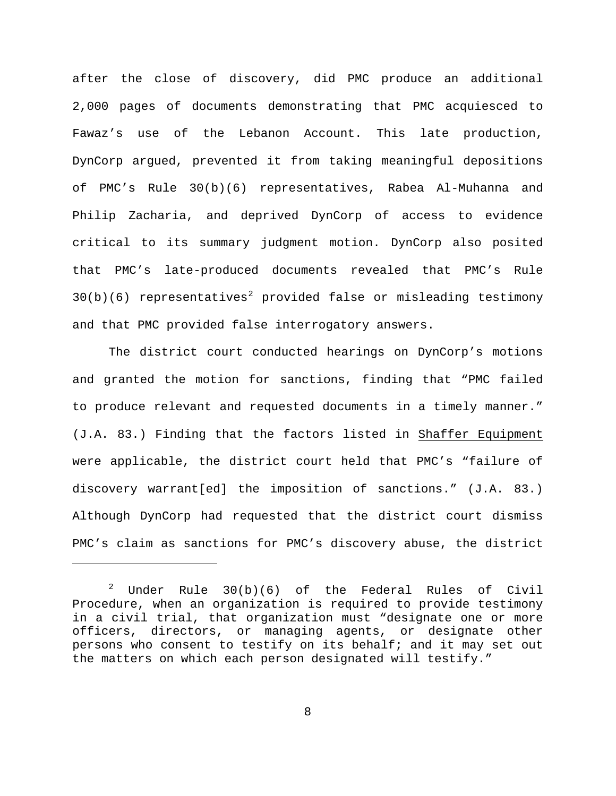after the close of discovery, did PMC produce an additional 2,000 pages of documents demonstrating that PMC acquiesced to Fawaz's use of the Lebanon Account. This late production, DynCorp argued, prevented it from taking meaningful depositions of PMC's Rule 30(b)(6) representatives, Rabea Al-Muhanna and Philip Zacharia, and deprived DynCorp of access to evidence critical to its summary judgment motion. DynCorp also posited that PMC's late-produced documents revealed that PMC's Rule  $30(b)(6)$  representatives<sup>[2](#page-7-0)</sup> provided false or misleading testimony and that PMC provided false interrogatory answers.

The district court conducted hearings on DynCorp's motions and granted the motion for sanctions, finding that "PMC failed to produce relevant and requested documents in a timely manner." (J.A. 83.) Finding that the factors listed in Shaffer Equipment were applicable, the district court held that PMC's "failure of discovery warrant[ed] the imposition of sanctions." (J.A. 83.) Although DynCorp had requested that the district court dismiss PMC's claim as sanctions for PMC's discovery abuse, the district

Ĩ.

<span id="page-7-0"></span> $2$  Under Rule  $30(b)(6)$  of the Federal Rules of Civil Procedure, when an organization is required to provide testimony in a civil trial, that organization must "designate one or more officers, directors, or managing agents, or designate other persons who consent to testify on its behalf; and it may set out the matters on which each person designated will testify."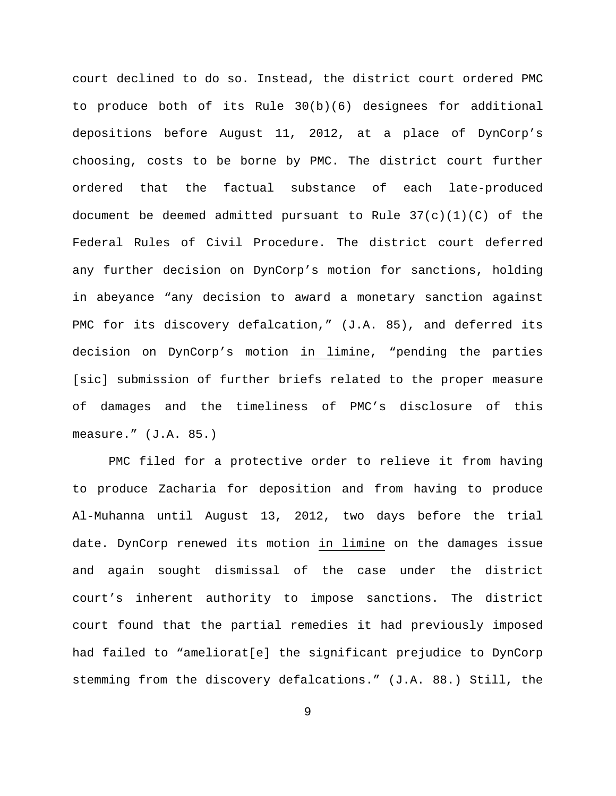court declined to do so. Instead, the district court ordered PMC to produce both of its Rule 30(b)(6) designees for additional depositions before August 11, 2012, at a place of DynCorp's choosing, costs to be borne by PMC. The district court further ordered that the factual substance of each late-produced document be deemed admitted pursuant to Rule  $37(c)(1)(C)$  of the Federal Rules of Civil Procedure. The district court deferred any further decision on DynCorp's motion for sanctions, holding in abeyance "any decision to award a monetary sanction against PMC for its discovery defalcation," (J.A. 85), and deferred its decision on DynCorp's motion in limine, "pending the parties [sic] submission of further briefs related to the proper measure of damages and the timeliness of PMC's disclosure of this measure." (J.A. 85.)

PMC filed for a protective order to relieve it from having to produce Zacharia for deposition and from having to produce Al-Muhanna until August 13, 2012, two days before the trial date. DynCorp renewed its motion in limine on the damages issue and again sought dismissal of the case under the district court's inherent authority to impose sanctions. The district court found that the partial remedies it had previously imposed had failed to "ameliorat[e] the significant prejudice to DynCorp stemming from the discovery defalcations." (J.A. 88.) Still, the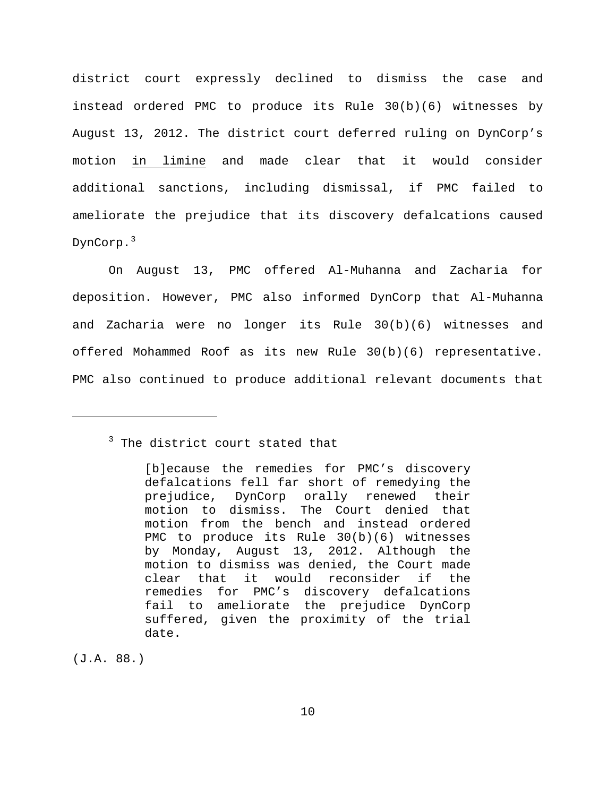district court expressly declined to dismiss the case and instead ordered PMC to produce its Rule 30(b)(6) witnesses by August 13, 2012. The district court deferred ruling on DynCorp's motion in limine and made clear that it would consider additional sanctions, including dismissal, if PMC failed to ameliorate the prejudice that its discovery defalcations caused DynCorp.[3](#page-9-0)

On August 13, PMC offered Al-Muhanna and Zacharia for deposition. However, PMC also informed DynCorp that Al-Muhanna and Zacharia were no longer its Rule 30(b)(6) witnesses and offered Mohammed Roof as its new Rule 30(b)(6) representative. PMC also continued to produce additional relevant documents that

(J.A. 88.)

<span id="page-9-0"></span>Ĩ.

<sup>&</sup>lt;sup>3</sup> The district court stated that

<sup>[</sup>b]ecause the remedies for PMC's discovery defalcations fell far short of remedying the prejudice, DynCorp orally renewed their motion to dismiss. The Court denied that motion from the bench and instead ordered PMC to produce its Rule 30(b)(6) witnesses by Monday, August 13, 2012. Although the motion to dismiss was denied, the Court made clear that it would reconsider if the remedies for PMC's discovery defalcations fail to ameliorate the prejudice DynCorp suffered, given the proximity of the trial date.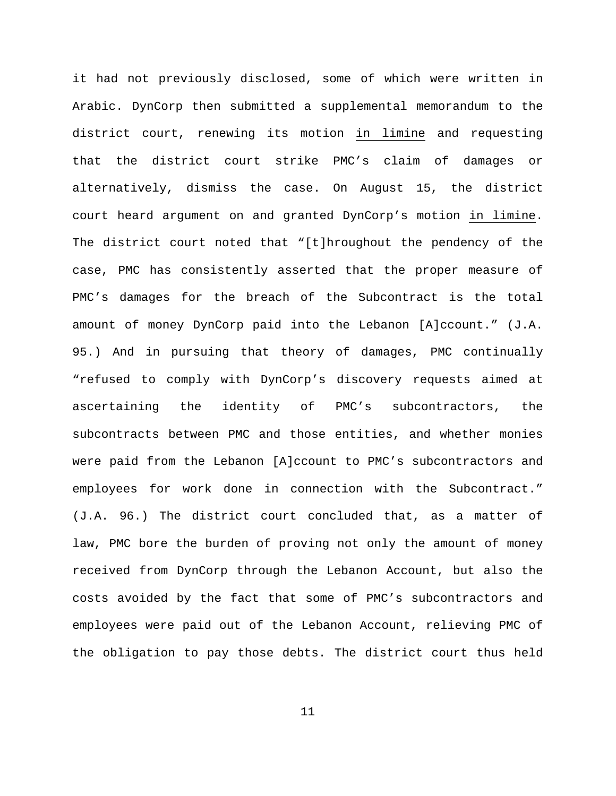it had not previously disclosed, some of which were written in Arabic. DynCorp then submitted a supplemental memorandum to the district court, renewing its motion in limine and requesting that the district court strike PMC's claim of damages or alternatively, dismiss the case. On August 15, the district court heard argument on and granted DynCorp's motion in limine. The district court noted that "[t]hroughout the pendency of the case, PMC has consistently asserted that the proper measure of PMC's damages for the breach of the Subcontract is the total amount of money DynCorp paid into the Lebanon [A]ccount." (J.A. 95.) And in pursuing that theory of damages, PMC continually "refused to comply with DynCorp's discovery requests aimed at ascertaining the identity of PMC's subcontractors, the subcontracts between PMC and those entities, and whether monies were paid from the Lebanon [A]ccount to PMC's subcontractors and employees for work done in connection with the Subcontract." (J.A. 96.) The district court concluded that, as a matter of law, PMC bore the burden of proving not only the amount of money received from DynCorp through the Lebanon Account, but also the costs avoided by the fact that some of PMC's subcontractors and employees were paid out of the Lebanon Account, relieving PMC of the obligation to pay those debts. The district court thus held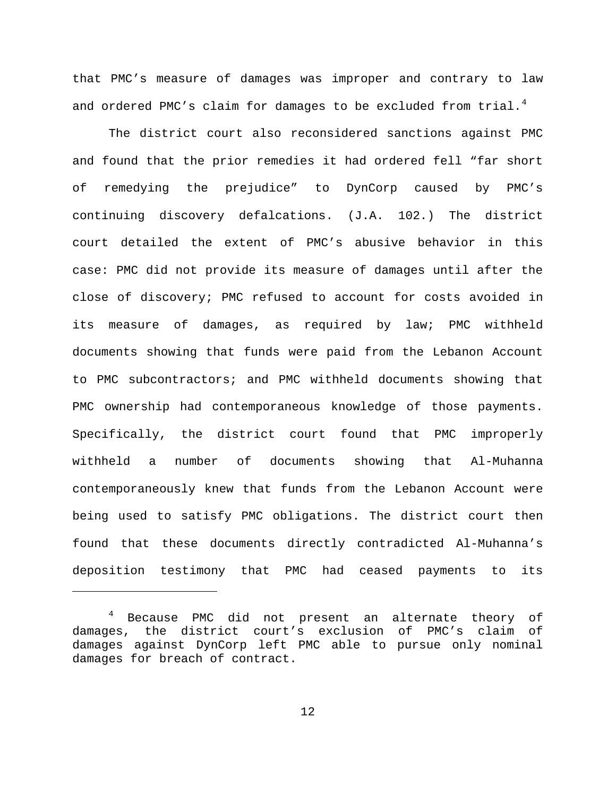that PMC's measure of damages was improper and contrary to law and ordered PMC's claim for damages to be excluded from trial.<sup>[4](#page-11-0)</sup>

The district court also reconsidered sanctions against PMC and found that the prior remedies it had ordered fell "far short of remedying the prejudice" to DynCorp caused by PMC's continuing discovery defalcations. (J.A. 102.) The district court detailed the extent of PMC's abusive behavior in this case: PMC did not provide its measure of damages until after the close of discovery; PMC refused to account for costs avoided in its measure of damages, as required by law; PMC withheld documents showing that funds were paid from the Lebanon Account to PMC subcontractors; and PMC withheld documents showing that PMC ownership had contemporaneous knowledge of those payments. Specifically, the district court found that PMC improperly withheld a number of documents showing that Al-Muhanna contemporaneously knew that funds from the Lebanon Account were being used to satisfy PMC obligations. The district court then found that these documents directly contradicted Al-Muhanna's deposition testimony that PMC had ceased payments to its

Ĩ.

<span id="page-11-0"></span><sup>&</sup>lt;sup>4</sup> Because PMC did not present an alternate theory of damages, the district court's exclusion of PMC's claim of damages against DynCorp left PMC able to pursue only nominal damages for breach of contract.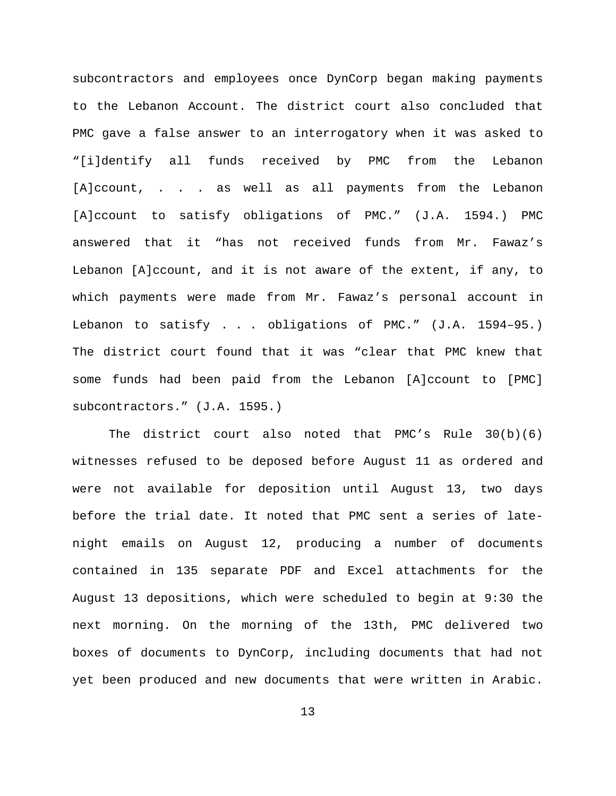subcontractors and employees once DynCorp began making payments to the Lebanon Account. The district court also concluded that PMC gave a false answer to an interrogatory when it was asked to "[i]dentify all funds received by PMC from the Lebanon [A]ccount, . . . as well as all payments from the Lebanon [A]ccount to satisfy obligations of PMC." (J.A. 1594.) PMC answered that it "has not received funds from Mr. Fawaz's Lebanon [A]ccount, and it is not aware of the extent, if any, to which payments were made from Mr. Fawaz's personal account in Lebanon to satisfy . . . obligations of PMC." (J.A. 1594–95.) The district court found that it was "clear that PMC knew that some funds had been paid from the Lebanon [A]ccount to [PMC] subcontractors." (J.A. 1595.)

The district court also noted that PMC's Rule  $30(b)(6)$ witnesses refused to be deposed before August 11 as ordered and were not available for deposition until August 13, two days before the trial date. It noted that PMC sent a series of latenight emails on August 12, producing a number of documents contained in 135 separate PDF and Excel attachments for the August 13 depositions, which were scheduled to begin at 9:30 the next morning. On the morning of the 13th, PMC delivered two boxes of documents to DynCorp, including documents that had not yet been produced and new documents that were written in Arabic.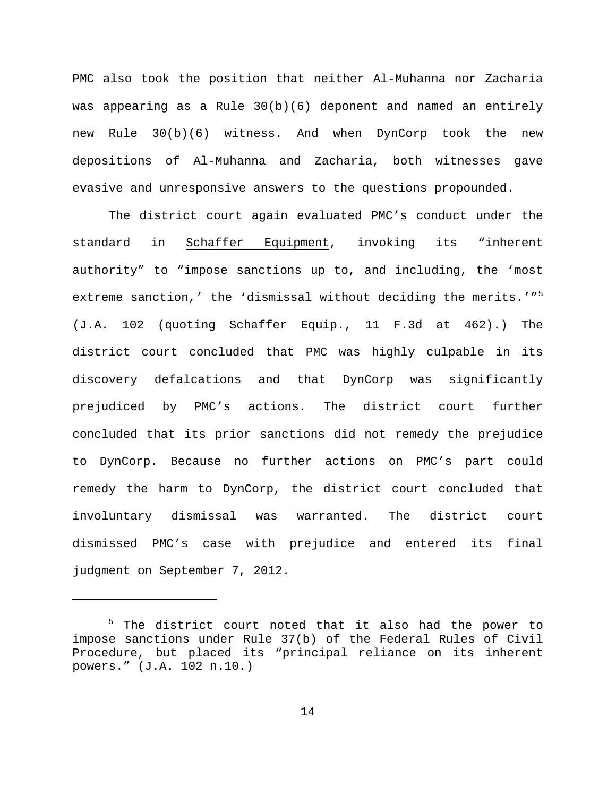PMC also took the position that neither Al-Muhanna nor Zacharia was appearing as a Rule 30(b)(6) deponent and named an entirely new Rule 30(b)(6) witness. And when DynCorp took the new depositions of Al-Muhanna and Zacharia, both witnesses gave evasive and unresponsive answers to the questions propounded.

The district court again evaluated PMC's conduct under the standard in Schaffer Equipment, invoking its "inherent authority" to "impose sanctions up to, and including, the 'most extreme sanction,' the 'dismissal without deciding the merits.'"<sup>[5](#page-13-0)</sup> (J.A. 102 (quoting Schaffer Equip., 11 F.3d at 462).) The district court concluded that PMC was highly culpable in its discovery defalcations and that DynCorp was significantly prejudiced by PMC's actions. The district court further concluded that its prior sanctions did not remedy the prejudice to DynCorp. Because no further actions on PMC's part could remedy the harm to DynCorp, the district court concluded that involuntary dismissal was warranted. The district court dismissed PMC's case with prejudice and entered its final judgment on September 7, 2012.

ī

<span id="page-13-0"></span><sup>&</sup>lt;sup>5</sup> The district court noted that it also had the power to impose sanctions under Rule 37(b) of the Federal Rules of Civil Procedure, but placed its "principal reliance on its inherent powers." (J.A. 102 n.10.)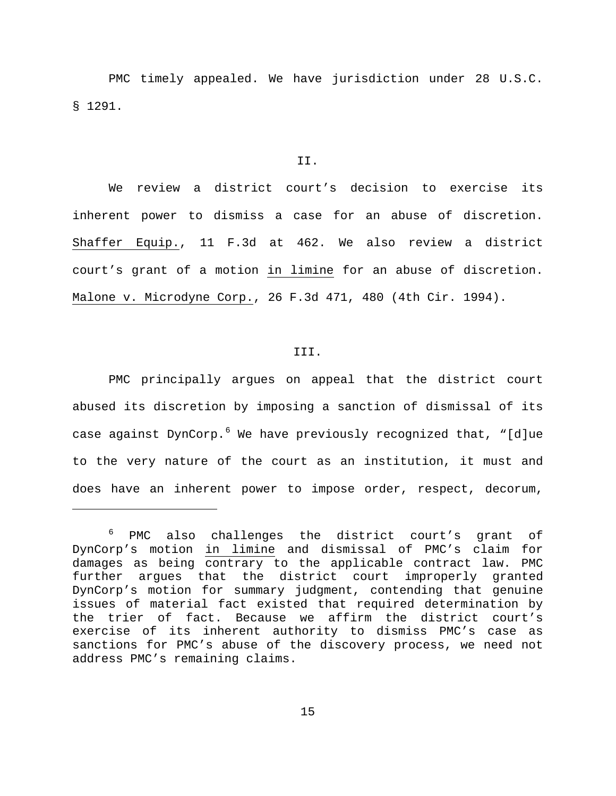PMC timely appealed. We have jurisdiction under 28 U.S.C. § 1291.

### II.

We review a district court's decision to exercise its inherent power to dismiss a case for an abuse of discretion. Shaffer Equip., 11 F.3d at 462. We also review a district court's grant of a motion in limine for an abuse of discretion. Malone v. Microdyne Corp., 26 F.3d 471, 480 (4th Cir. 1994).

### III.

PMC principally argues on appeal that the district court abused its discretion by imposing a sanction of dismissal of its case against DynCorp.<sup>[6](#page-14-0)</sup> We have previously recognized that, "[d]ue to the very nature of the court as an institution, it must and does have an inherent power to impose order, respect, decorum,

ī

<span id="page-14-0"></span><sup>&</sup>lt;sup>6</sup> PMC also challenges the district court's grant of DynCorp's motion in limine and dismissal of PMC's claim for damages as being contrary to the applicable contract law. PMC further argues that the district court improperly granted DynCorp's motion for summary judgment, contending that genuine issues of material fact existed that required determination by the trier of fact. Because we affirm the district court's exercise of its inherent authority to dismiss PMC's case as sanctions for PMC's abuse of the discovery process, we need not address PMC's remaining claims.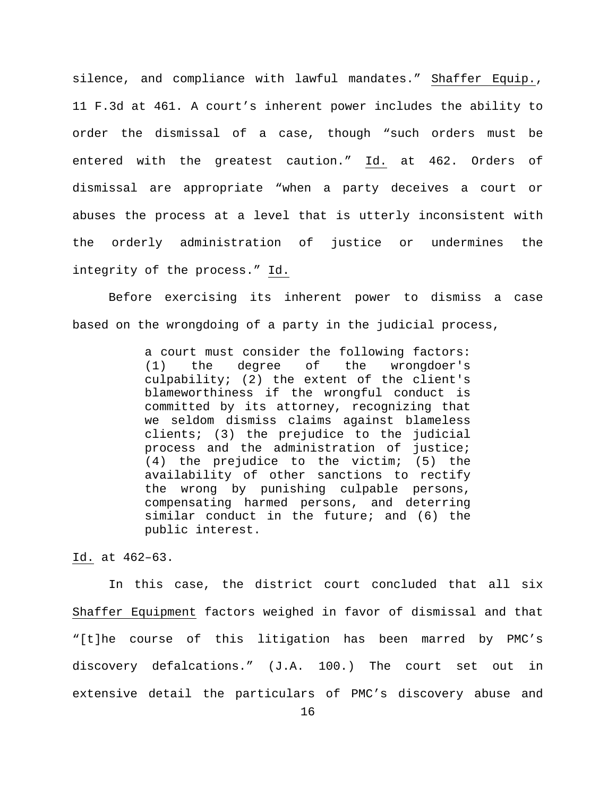silence, and compliance with lawful mandates." Shaffer Equip., 11 F.3d at 461. A court's inherent power includes the ability to order the dismissal of a case, though "such orders must be entered with the greatest caution." Id. at 462. Orders of dismissal are appropriate "when a party deceives a court or abuses the process at a level that is utterly inconsistent with the orderly administration of justice or undermines the integrity of the process." Id.

Before exercising its inherent power to dismiss a case based on the wrongdoing of a party in the judicial process,

> a court must consider the following factors:<br>(1) the degree of the wrongdoer's the wrongdoer's culpability; (2) the extent of the client's blameworthiness if the wrongful conduct is committed by its attorney, recognizing that we seldom dismiss claims against blameless clients; (3) the prejudice to the judicial process and the administration of justice; (4) the prejudice to the victim; (5) the availability of other sanctions to rectify the wrong by punishing culpable persons, compensating harmed persons, and deterring similar conduct in the future; and (6) the public interest.

Id. at 462–63.

In this case, the district court concluded that all six Shaffer Equipment factors weighed in favor of dismissal and that "[t]he course of this litigation has been marred by PMC's discovery defalcations." (J.A. 100.) The court set out in extensive detail the particulars of PMC's discovery abuse and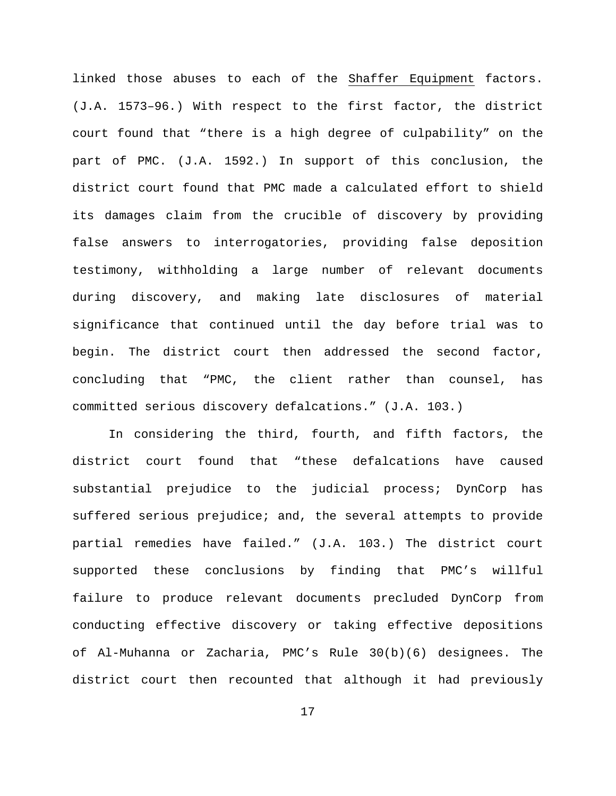linked those abuses to each of the Shaffer Equipment factors. (J.A. 1573–96.) With respect to the first factor, the district court found that "there is a high degree of culpability" on the part of PMC. (J.A. 1592.) In support of this conclusion, the district court found that PMC made a calculated effort to shield its damages claim from the crucible of discovery by providing false answers to interrogatories, providing false deposition testimony, withholding a large number of relevant documents during discovery, and making late disclosures of material significance that continued until the day before trial was to begin. The district court then addressed the second factor, concluding that "PMC, the client rather than counsel, has committed serious discovery defalcations." (J.A. 103.)

In considering the third, fourth, and fifth factors, the district court found that "these defalcations have caused substantial prejudice to the judicial process; DynCorp has suffered serious prejudice; and, the several attempts to provide partial remedies have failed." (J.A. 103.) The district court supported these conclusions by finding that PMC's willful failure to produce relevant documents precluded DynCorp from conducting effective discovery or taking effective depositions of Al-Muhanna or Zacharia, PMC's Rule 30(b)(6) designees. The district court then recounted that although it had previously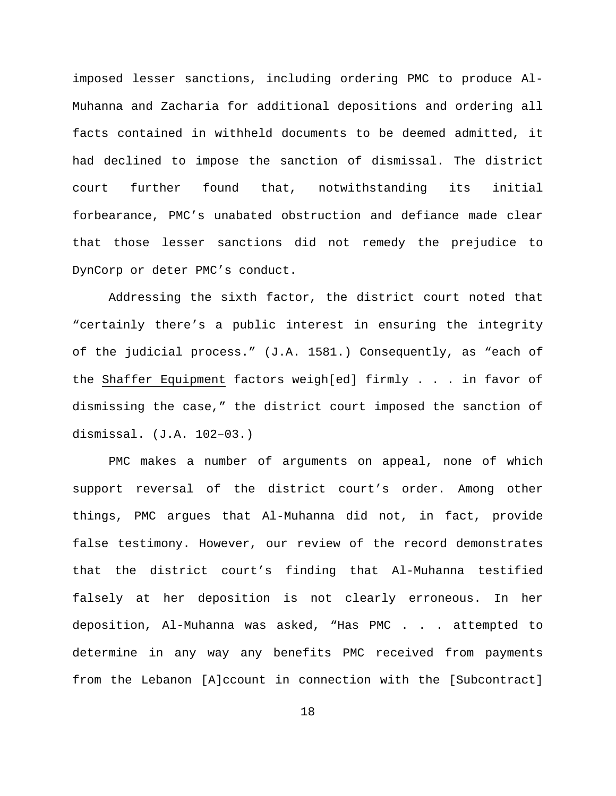imposed lesser sanctions, including ordering PMC to produce Al-Muhanna and Zacharia for additional depositions and ordering all facts contained in withheld documents to be deemed admitted, it had declined to impose the sanction of dismissal. The district court further found that, notwithstanding its initial forbearance, PMC's unabated obstruction and defiance made clear that those lesser sanctions did not remedy the prejudice to DynCorp or deter PMC's conduct.

Addressing the sixth factor, the district court noted that "certainly there's a public interest in ensuring the integrity of the judicial process." (J.A. 1581.) Consequently, as "each of the Shaffer Equipment factors weigh[ed] firmly . . . in favor of dismissing the case," the district court imposed the sanction of dismissal. (J.A. 102–03.)

PMC makes a number of arguments on appeal, none of which support reversal of the district court's order. Among other things, PMC argues that Al-Muhanna did not, in fact, provide false testimony. However, our review of the record demonstrates that the district court's finding that Al-Muhanna testified falsely at her deposition is not clearly erroneous. In her deposition, Al-Muhanna was asked, "Has PMC . . . attempted to determine in any way any benefits PMC received from payments from the Lebanon [A]ccount in connection with the [Subcontract]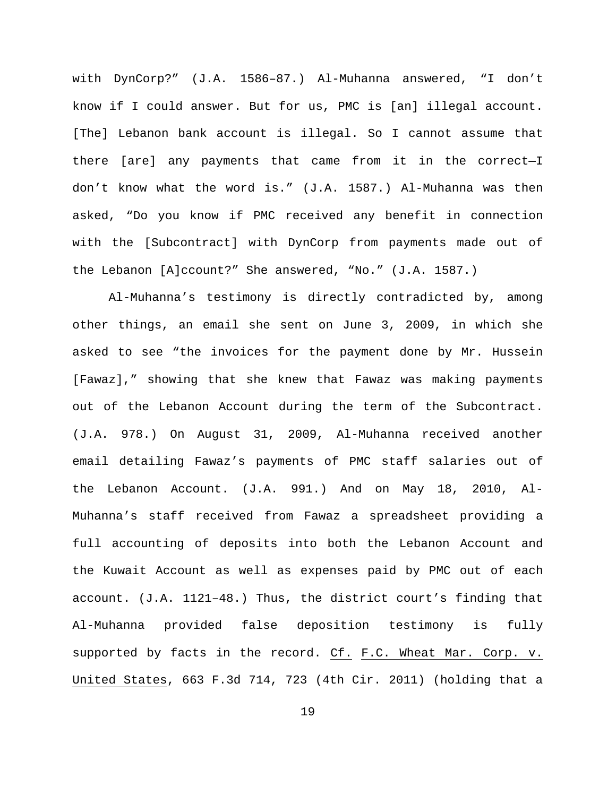with DynCorp?" (J.A. 1586–87.) Al-Muhanna answered, "I don't know if I could answer. But for us, PMC is [an] illegal account. [The] Lebanon bank account is illegal. So I cannot assume that there [are] any payments that came from it in the correct—I don't know what the word is." (J.A. 1587.) Al-Muhanna was then asked, "Do you know if PMC received any benefit in connection with the [Subcontract] with DynCorp from payments made out of the Lebanon [A]ccount?" She answered, "No." (J.A. 1587.)

Al-Muhanna's testimony is directly contradicted by, among other things, an email she sent on June 3, 2009, in which she asked to see "the invoices for the payment done by Mr. Hussein [Fawaz]," showing that she knew that Fawaz was making payments out of the Lebanon Account during the term of the Subcontract. (J.A. 978.) On August 31, 2009, Al-Muhanna received another email detailing Fawaz's payments of PMC staff salaries out of the Lebanon Account. (J.A. 991.) And on May 18, 2010, Al-Muhanna's staff received from Fawaz a spreadsheet providing a full accounting of deposits into both the Lebanon Account and the Kuwait Account as well as expenses paid by PMC out of each account. (J.A. 1121–48.) Thus, the district court's finding that Al-Muhanna provided false deposition testimony is fully supported by facts in the record. Cf. F.C. Wheat Mar. Corp. v. United States, 663 F.3d 714, 723 (4th Cir. 2011) (holding that a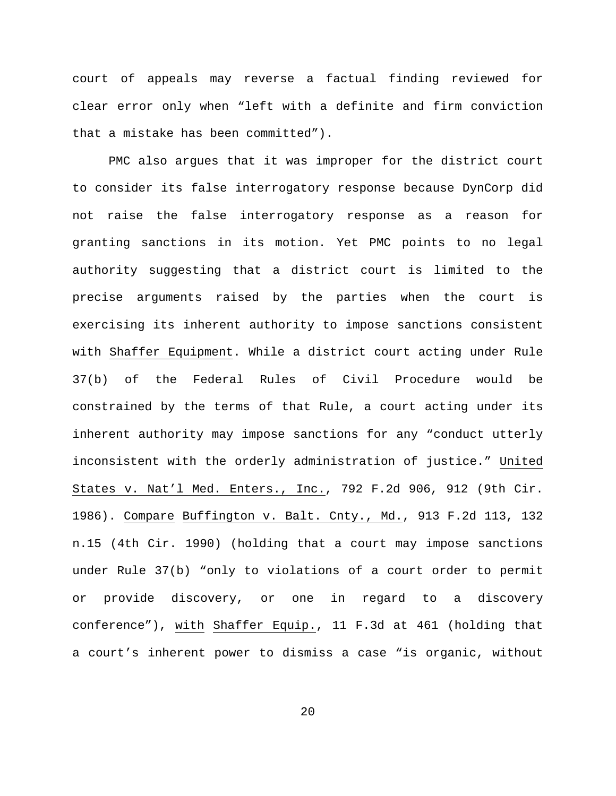court of appeals may reverse a factual finding reviewed for clear error only when "left with a definite and firm conviction that a mistake has been committed").

PMC also argues that it was improper for the district court to consider its false interrogatory response because DynCorp did not raise the false interrogatory response as a reason for granting sanctions in its motion. Yet PMC points to no legal authority suggesting that a district court is limited to the precise arguments raised by the parties when the court is exercising its inherent authority to impose sanctions consistent with Shaffer Equipment. While a district court acting under Rule 37(b) of the Federal Rules of Civil Procedure would be constrained by the terms of that Rule, a court acting under its inherent authority may impose sanctions for any "conduct utterly inconsistent with the orderly administration of justice." United States v. Nat'l Med. Enters., Inc., 792 F.2d 906, 912 (9th Cir. 1986). Compare Buffington v. Balt. Cnty., Md., 913 F.2d 113, 132 n.15 (4th Cir. 1990) (holding that a court may impose sanctions under Rule 37(b) "only to violations of a court order to permit or provide discovery, or one in regard to a discovery conference"), with Shaffer Equip., 11 F.3d at 461 (holding that a court's inherent power to dismiss a case "is organic, without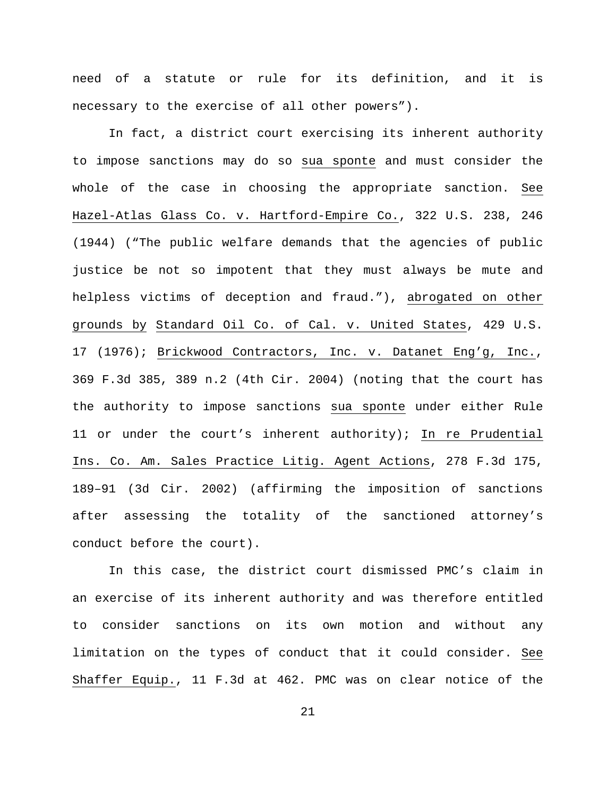need of a statute or rule for its definition, and it is necessary to the exercise of all other powers").

In fact, a district court exercising its inherent authority to impose sanctions may do so sua sponte and must consider the whole of the case in choosing the appropriate sanction. See Hazel-Atlas Glass Co. v. Hartford-Empire Co., 322 U.S. 238, 246 (1944) ("The public welfare demands that the agencies of public justice be not so impotent that they must always be mute and helpless victims of deception and fraud."), abrogated on other grounds by Standard Oil Co. of Cal. v. United States, 429 U.S. 17 (1976); Brickwood Contractors, Inc. v. Datanet Eng'g, Inc., 369 F.3d 385, 389 n.2 (4th Cir. 2004) (noting that the court has the authority to impose sanctions sua sponte under either Rule 11 or under the court's inherent authority); In re Prudential Ins. Co. Am. Sales Practice Litig. Agent Actions, 278 F.3d 175, 189–91 (3d Cir. 2002) (affirming the imposition of sanctions after assessing the totality of the sanctioned attorney's conduct before the court).

In this case, the district court dismissed PMC's claim in an exercise of its inherent authority and was therefore entitled to consider sanctions on its own motion and without any limitation on the types of conduct that it could consider. See Shaffer Equip., 11 F.3d at 462. PMC was on clear notice of the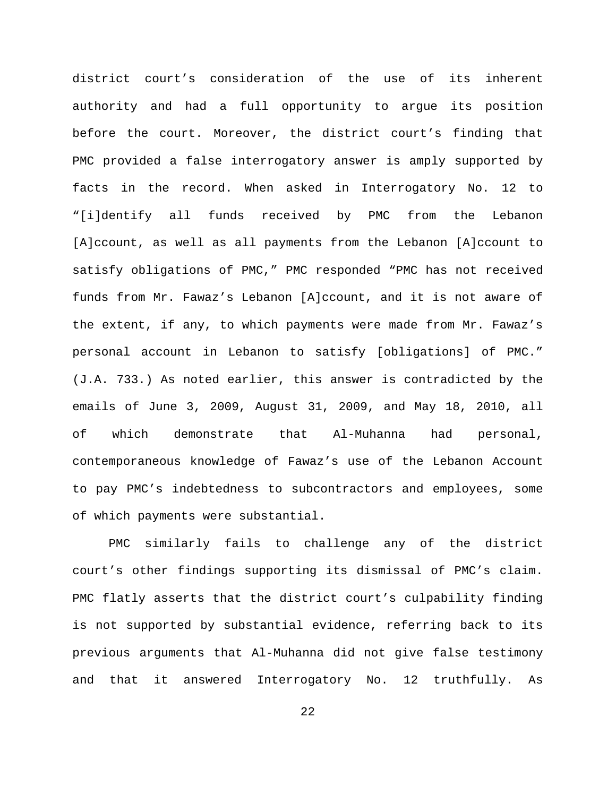district court's consideration of the use of its inherent authority and had a full opportunity to argue its position before the court. Moreover, the district court's finding that PMC provided a false interrogatory answer is amply supported by facts in the record. When asked in Interrogatory No. 12 to "[i]dentify all funds received by PMC from the Lebanon [A]ccount, as well as all payments from the Lebanon [A]ccount to satisfy obligations of PMC," PMC responded "PMC has not received funds from Mr. Fawaz's Lebanon [A]ccount, and it is not aware of the extent, if any, to which payments were made from Mr. Fawaz's personal account in Lebanon to satisfy [obligations] of PMC." (J.A. 733.) As noted earlier, this answer is contradicted by the emails of June 3, 2009, August 31, 2009, and May 18, 2010, all of which demonstrate that Al-Muhanna had personal, contemporaneous knowledge of Fawaz's use of the Lebanon Account to pay PMC's indebtedness to subcontractors and employees, some of which payments were substantial.

PMC similarly fails to challenge any of the district court's other findings supporting its dismissal of PMC's claim. PMC flatly asserts that the district court's culpability finding is not supported by substantial evidence, referring back to its previous arguments that Al-Muhanna did not give false testimony and that it answered Interrogatory No. 12 truthfully. As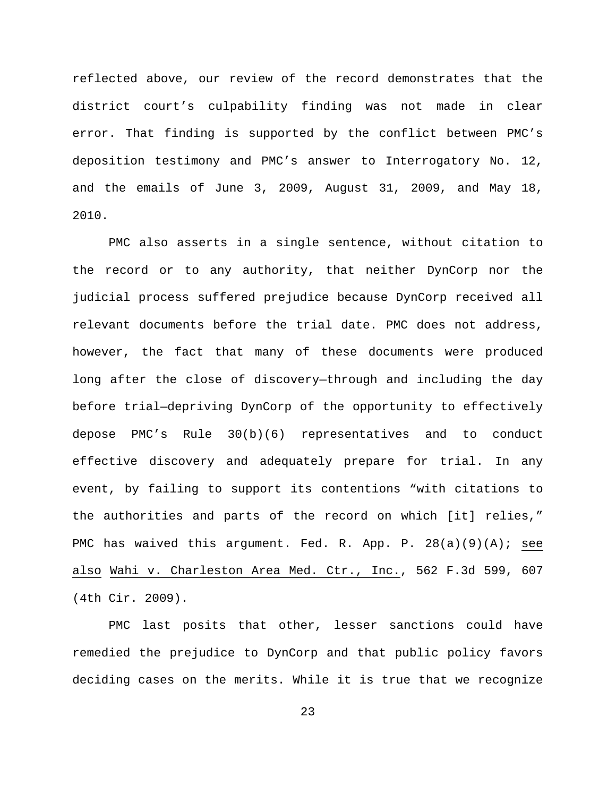reflected above, our review of the record demonstrates that the district court's culpability finding was not made in clear error. That finding is supported by the conflict between PMC's deposition testimony and PMC's answer to Interrogatory No. 12, and the emails of June 3, 2009, August 31, 2009, and May 18, 2010.

PMC also asserts in a single sentence, without citation to the record or to any authority, that neither DynCorp nor the judicial process suffered prejudice because DynCorp received all relevant documents before the trial date. PMC does not address, however, the fact that many of these documents were produced long after the close of discovery—through and including the day before trial—depriving DynCorp of the opportunity to effectively depose PMC's Rule 30(b)(6) representatives and to conduct effective discovery and adequately prepare for trial. In any event, by failing to support its contentions "with citations to the authorities and parts of the record on which [it] relies," PMC has waived this argument. Fed. R. App. P.  $28(a)(9)(A)$ ; see also Wahi v. Charleston Area Med. Ctr., Inc., 562 F.3d 599, 607 (4th Cir. 2009).

PMC last posits that other, lesser sanctions could have remedied the prejudice to DynCorp and that public policy favors deciding cases on the merits. While it is true that we recognize